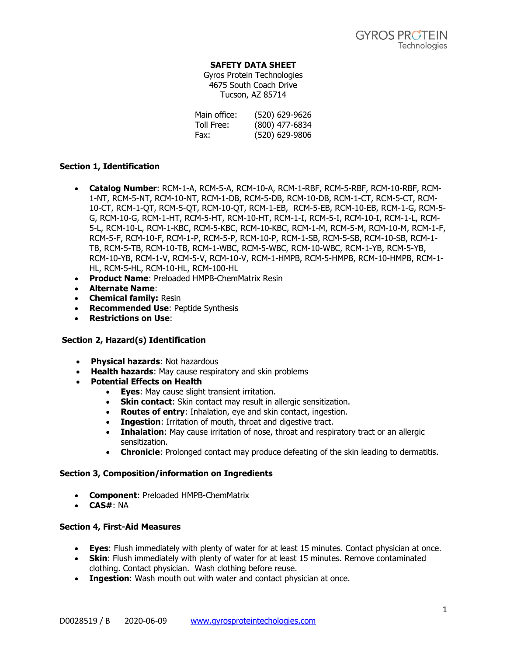## **SAFETY DATA SHEET**

Gyros Protein Technologies 4675 South Coach Drive Tucson, AZ 85714

| Main office: | (520) 629-9626 |
|--------------|----------------|
| Toll Free:   | (800) 477-6834 |
| Fax:         | (520) 629-9806 |

# **Section 1, Identification**

- **Catalog Number**: RCM-1-A, RCM-5-A, RCM-10-A, RCM-1-RBF, RCM-5-RBF, RCM-10-RBF, RCM-1-NT, RCM-5-NT, RCM-10-NT, RCM-1-DB, RCM-5-DB, RCM-10-DB, RCM-1-CT, RCM-5-CT, RCM-10-CT, RCM-1-QT, RCM-5-QT, RCM-10-QT, RCM-1-EB, RCM-5-EB, RCM-10-EB, RCM-1-G, RCM-5- G, RCM-10-G, RCM-1-HT, RCM-5-HT, RCM-10-HT, RCM-1-I, RCM-5-I, RCM-10-I, RCM-1-L, RCM-5-L, RCM-10-L, RCM-1-KBC, RCM-5-KBC, RCM-10-KBC, RCM-1-M, RCM-5-M, RCM-10-M, RCM-1-F, RCM-5-F, RCM-10-F, RCM-1-P, RCM-5-P, RCM-10-P, RCM-1-SB, RCM-5-SB, RCM-10-SB, RCM-1- TB, RCM-5-TB, RCM-10-TB, RCM-1-WBC, RCM-5-WBC, RCM-10-WBC, RCM-1-YB, RCM-5-YB, RCM-10-YB, RCM-1-V, RCM-5-V, RCM-10-V, RCM-1-HMPB, RCM-5-HMPB, RCM-10-HMPB, RCM-1- HL, RCM-5-HL, RCM-10-HL, RCM-100-HL
- **Product Name**: Preloaded HMPB-ChemMatrix Resin
- **Alternate Name**:
- **Chemical family:** Resin
- **Recommended Use**: Peptide Synthesis
- **Restrictions on Use**:

## **Section 2, Hazard(s) Identification**

- **Physical hazards**: Not hazardous
- **Health hazards**: May cause respiratory and skin problems
- **Potential Effects on Health**
	- **Eyes**: May cause slight transient irritation.
	- **Skin contact**: Skin contact may result in allergic sensitization.
	- **Routes of entry**: Inhalation, eye and skin contact, ingestion.
	- **Ingestion**: Irritation of mouth, throat and digestive tract.
	- **Inhalation**: May cause irritation of nose, throat and respiratory tract or an allergic sensitization.
	- **Chronicle**: Prolonged contact may produce defeating of the skin leading to dermatitis.

## **Section 3, Composition/information on Ingredients**

- **Component**: Preloaded HMPB-ChemMatrix
- **CAS#**: NA

## **Section 4, First-Aid Measures**

- **Eyes**: Flush immediately with plenty of water for at least 15 minutes. Contact physician at once.
- **Skin**: Flush immediately with plenty of water for at least 15 minutes. Remove contaminated clothing. Contact physician. Wash clothing before reuse.
- **Ingestion**: Wash mouth out with water and contact physician at once.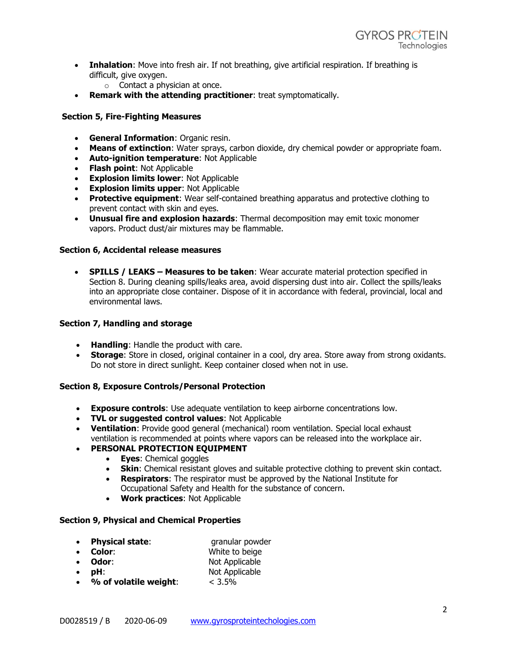- **Inhalation**: Move into fresh air. If not breathing, give artificial respiration. If breathing is difficult, give oxygen.
	- $\circ$  Contact a physician at once.
- **Remark with the attending practitioner**: treat symptomatically.

## **Section 5, Fire-Fighting Measures**

- **General Information**: Organic resin.
- **Means of extinction**: Water sprays, carbon dioxide, dry chemical powder or appropriate foam.
- **Auto-ignition temperature**: Not Applicable
- **Flash point**: Not Applicable
- **Explosion limits lower**: Not Applicable
- **Explosion limits upper**: Not Applicable
- **Protective equipment**: Wear self-contained breathing apparatus and protective clothing to prevent contact with skin and eyes.
- **Unusual fire and explosion hazards**: Thermal decomposition may emit toxic monomer vapors. Product dust/air mixtures may be flammable.

### **Section 6, Accidental release measures**

• **SPILLS / LEAKS – Measures to be taken**: Wear accurate material protection specified in Section 8. During cleaning spills/leaks area, avoid dispersing dust into air. Collect the spills/leaks into an appropriate close container. Dispose of it in accordance with federal, provincial, local and environmental laws.

## **Section 7, Handling and storage**

- **Handling**: Handle the product with care.
- **Storage**: Store in closed, original container in a cool, dry area. Store away from strong oxidants. Do not store in direct sunlight. Keep container closed when not in use.

## **Section 8, Exposure Controls/Personal Protection**

- **Exposure controls**: Use adequate ventilation to keep airborne concentrations low.
- **TVL or suggested control values**: Not Applicable
- **Ventilation**: Provide good general (mechanical) room ventilation. Special local exhaust ventilation is recommended at points where vapors can be released into the workplace air.
- **PERSONAL PROTECTION EQUIPMENT**
	- **Eyes**: Chemical goggles
	- **Skin**: Chemical resistant gloves and suitable protective clothing to prevent skin contact.
	- **Respirators**: The respirator must be approved by the National Institute for Occupational Safety and Health for the substance of concern.
	- **Work practices**: Not Applicable

#### **Section 9, Physical and Chemical Properties**

- **Physical state:** granular powder<br>• **Color:** White to beige
	- White to beige
- Odor: Not Applicable
- **pH**: Not Applicable
- **% of volatile weight**: < 3.5%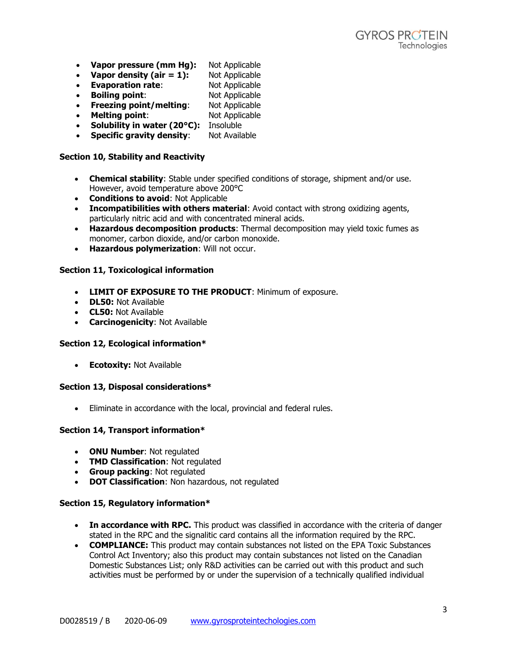- **Vapor pressure (mm Hg):** Not Applicable
- Vapor density (air = 1): Not Applicable
- **Evaporation rate**: Not Applicable
- **Boiling point**: Not Applicable
- **Freezing point/melting**: Not Applicable
- **Melting point**: Not Applicable
- **Solubility in water (20°C):** Insoluble
- **Specific gravity density**: Not Available

## **Section 10, Stability and Reactivity**

- **Chemical stability**: Stable under specified conditions of storage, shipment and/or use. However, avoid temperature above 200°C
- **Conditions to avoid**: Not Applicable
- **Incompatibilities with others material**: Avoid contact with strong oxidizing agents, particularly nitric acid and with concentrated mineral acids.
- **Hazardous decomposition products**: Thermal decomposition may yield toxic fumes as monomer, carbon dioxide, and/or carbon monoxide.
- **Hazardous polymerization**: Will not occur.

## **Section 11, Toxicological information**

- **LIMIT OF EXPOSURE TO THE PRODUCT**: Minimum of exposure.
- **DL50:** Not Available
- **CL50:** Not Available
- **Carcinogenicity**: Not Available

## **Section 12, Ecological information\***

• **Ecotoxity:** Not Available

#### **Section 13, Disposal considerations\***

• Eliminate in accordance with the local, provincial and federal rules.

#### **Section 14, Transport information\***

- **ONU Number**: Not regulated
- **TMD Classification**: Not regulated
- **Group packing**: Not regulated
- **DOT Classification**: Non hazardous, not regulated

#### **Section 15, Regulatory information\***

- In accordance with RPC. This product was classified in accordance with the criteria of danger stated in the RPC and the signalitic card contains all the information required by the RPC.
- **COMPLIANCE:** This product may contain substances not listed on the EPA Toxic Substances Control Act Inventory; also this product may contain substances not listed on the Canadian Domestic Substances List; only R&D activities can be carried out with this product and such activities must be performed by or under the supervision of a technically qualified individual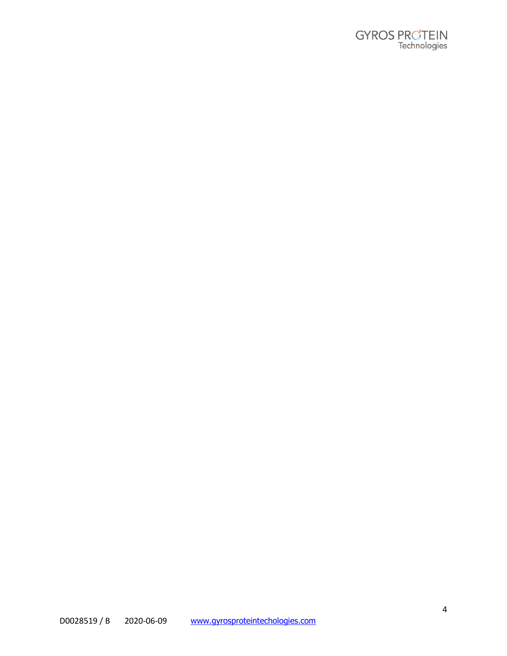